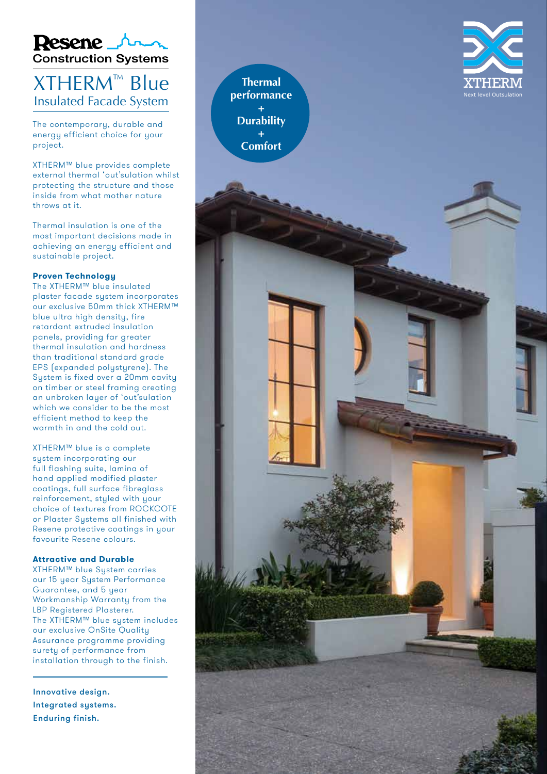

## XTHERM ™ Blue Insulated Facade System

The contemporary, durable and energy efficient choice for your project.

XTHERM™ blue provides complete external thermal 'out'sulation whilst protecting the structure and those inside from what mother nature throws at it.

Thermal insulation is one of the most important decisions made in achieving an energy efficient and sustainable project.

#### **Proven Technology**

The XTHERM™ blue insulated plaster facade system incorporates our exclusive 50mm thick XTHERM™ blue ultra high density, fire retardant extruded insulation panels, providing far greater thermal insulation and hardness than traditional standard grade EPS (expanded polystyrene). The System is fixed over a 20mm cavity on timber or steel framing creating an unbroken layer of 'out'sulation which we consider to be the most efficient method to keep the warmth in and the cold out.

XTHERM™ blue is a complete system incorporating our full flashing suite, lamina of hand applied modified plaster coatings, full surface fibreglass reinforcement, styled with your choice of textures from ROCKCOTE or Plaster Systems all finished with Resene protective coatings in your favourite Resene colours.

#### **Attractive and Durable**

XTHERM™ blue Sustem carries our 15 year System Performance Guarantee, and 5 year Workmanship Warranty from the LBP Registered Plasterer. The XTHERM™ blue system includes our exclusive OnSite Quality Assurance programme providing surety of performance from installation through to the finish.

Innovative design. Integrated systems. Enduring finish.